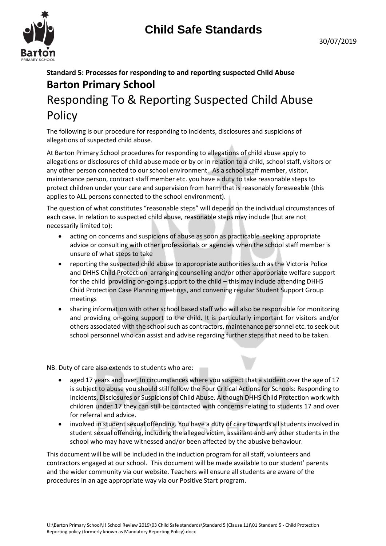

# **Standard 5: Processes for responding to and reporting suspected Child Abuse Barton Primary School** Responding To & Reporting Suspected Child Abuse **Policy**

The following is our procedure for responding to incidents, disclosures and suspicions of allegations of suspected child abuse.

At Barton Primary School procedures for responding to allegations of child abuse apply to allegations or disclosures of child abuse made or by or in relation to a child, school staff, visitors or any other person connected to our school environment. As a school staff member, visitor, maintenance person, contract staff member etc. you have a duty to take reasonable steps to protect children under your care and supervision from harm that is reasonably foreseeable (this applies to ALL persons connected to the school environment).

The question of what constitutes "reasonable steps" will depend on the individual circumstances of each case. In relation to suspected child abuse, reasonable steps may include (but are not necessarily limited to):

- acting on concerns and suspicions of abuse as soon as practicable seeking appropriate advice or consulting with other professionals or agencies when the school staff member is unsure of what steps to take
- reporting the suspected child abuse to appropriate authorities such as the Victoria Police and DHHS Child Protection arranging counselling and/or other appropriate welfare support for the child providing on-going support to the child – this may include attending DHHS Child Protection Case Planning meetings, and convening regular Student Support Group meetings
- sharing information with other school based staff who will also be responsible for monitoring and providing on-going support to the child. It is particularly important for visitors and/or others associated with the school such as contractors, maintenance personnel etc. to seek out school personnel who can assist and advise regarding further steps that need to be taken.

NB. Duty of care also extends to students who are:

- aged 17 years and over. In circumstances where you suspect that a student over the age of 17 is subject to abuse you should still follow the Four Critical Actions for Schools: Responding to Incidents, Disclosures or Suspicions of Child Abuse. Although DHHS Child Protection work with children under 17 they can still be contacted with concerns relating to students 17 and over for referral and advice.
- involved in student sexual offending. You have a duty of care towards all students involved in student sexual offending, including the alleged victim, assailant and any other students in the school who may have witnessed and/or been affected by the abusive behaviour.

This document will be will be included in the induction program for all staff, volunteers and contractors engaged at our school. This document will be made available to our student' parents and the wider community via our website. Teachers will ensure all students are aware of the procedures in an age appropriate way via our Positive Start program.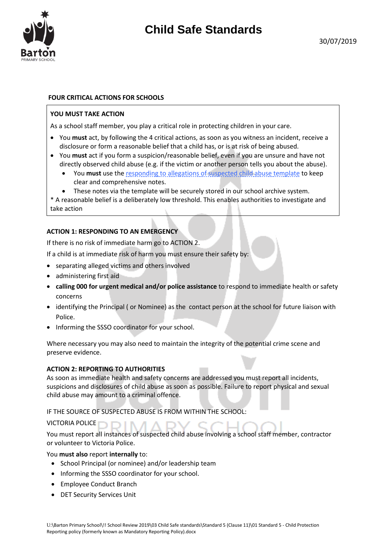

## **FOUR CRITICAL ACTIONS FOR SCHOOLS**

#### **YOU MUST TAKE ACTION**

As a school staff member, you play a critical role in protecting children in your care.

- You **must** act, by following the 4 critical actions, as soon as you witness an incident, receive a disclosure or form a reasonable belief that a child has, or is at risk of being abused.
- You **must** act if you form a suspicion/reasonable belief, even if you are unsure and have not directly observed child abuse (e.g. if the victim or another person tells you about the abuse).
	- You **must** use the [responding to allegations of suspected child abuse template](http://www.education.vic.gov.au/Documents/about/programs/health/protect/PROTECT_Responding_TemplateSchools.docx) to keep clear and comprehensive notes.
	- These notes via the template will be securely stored in our school archive system.

\* A reasonable belief is a deliberately low threshold. This enables authorities to investigate and take action

#### **ACTION 1: RESPONDING TO AN EMERGENCY**

If there is no risk of immediate harm go to ACTION 2.

If a child is at immediate risk of harm you must ensure their safety by:

- separating alleged victims and others involved
- administering first aid
- **calling 000 for urgent medical and/or police assistance** to respond to immediate health or safety concerns
- identifying the Principal ( or Nominee) as the contact person at the school for future liaison with Police.
- Informing the SSSO coordinator for your school.

Where necessary you may also need to maintain the integrity of the potential crime scene and preserve evidence.

#### **ACTION 2: REPORTING TO AUTHORITIES**

As soon as immediate health and safety concerns are addressed you must report all incidents, suspicions and disclosures of child abuse as soon as possible. Failure to report physical and sexual child abuse may amount to a criminal offence.

IF THE SOURCE OF SUSPECTED ABUSE IS FROM WITHIN THE SCHOOL:

## VICTORIA POLICE

You must report all instances of suspected child abuse involving a school staff member, contractor or volunteer to Victoria Police.

#### You **must also** report **internally** to:

- School Principal (or nominee) and/or leadership team
- Informing the SSSO coordinator for your school.
- Employee Conduct Branch
- DET Security Services Unit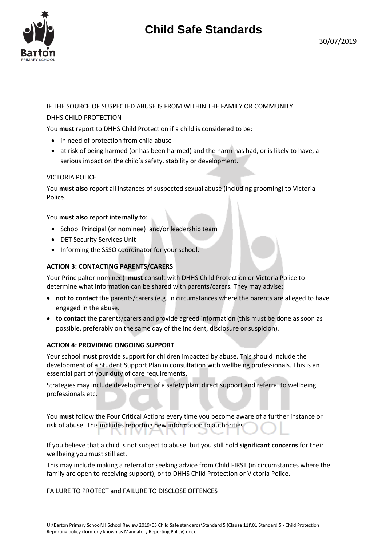

# IF THE SOURCE OF SUSPECTED ABUSE IS FROM WITHIN THE FAMILY OR COMMUNITY DHHS CHILD PROTECTION

You **must** report to DHHS Child Protection if a child is considered to be:

- in need of protection from child abuse
- at risk of being harmed (or has been harmed) and the harm has had, or is likely to have, a serious impact on the child's safety, stability or development.

## VICTORIA POLICE

You **must also** report all instances of suspected sexual abuse (including grooming) to Victoria Police.

#### You **must also** report **internally** to:

- School Principal (or nominee) and/or leadership team
- DET Security Services Unit
- Informing the SSSO coordinator for your school.

## **ACTION 3: CONTACTING PARENTS/CARERS**

Your Principal(or nominee) **must** consult with DHHS Child Protection or Victoria Police to determine what information can be shared with parents/carers. They may advise:

- **not to contact** the parents/carers (e.g. in circumstances where the parents are alleged to have engaged in the abuse.
- **to contact** the parents/carers and provide agreed information (this must be done as soon as possible, preferably on the same day of the incident, disclosure or suspicion).

## **ACTION 4: PROVIDING ONGOING SUPPORT**

Your school **must** provide support for children impacted by abuse. This should include the development of a Student Support Plan in consultation with wellbeing professionals. This is an essential part of your duty of care requirements.

Strategies may include development of a safety plan, direct support and referral to wellbeing professionals etc.

You **must** follow the Four Critical Actions every time you become aware of a further instance or risk of abuse. This includes reporting new information to authorities

If you believe that a child is not subject to abuse, but you still hold **significant concerns** for their wellbeing you must still act.

This may include making a referral or seeking advice from Child FIRST (in circumstances where the family are open to receiving support), or to DHHS Child Protection or Victoria Police.

FAILURE TO PROTECT and FAILURE TO DISCLOSE OFFENCES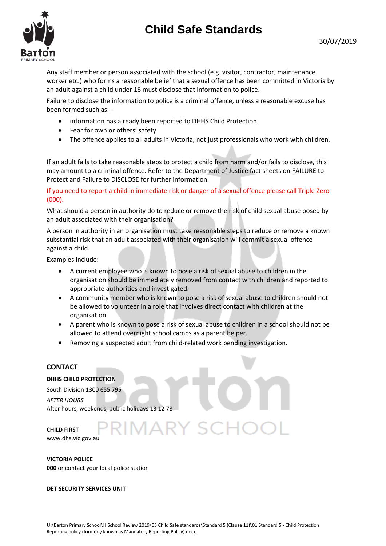30/07/2019



Any staff member or person associated with the school (e.g. visitor, contractor, maintenance worker etc.) who forms a reasonable belief that a sexual offence has been committed in Victoria by an adult against a child under 16 must disclose that information to police.

Failure to disclose the information to police is a criminal offence, unless a reasonable excuse has been formed such as:-

- information has already been reported to DHHS Child Protection.
- Fear for own or others' safety
- The offence applies to all adults in Victoria, not just professionals who work with children.

If an adult fails to take reasonable steps to protect a child from harm and/or fails to disclose, this may amount to a criminal offence. Refer to the Department of Justice fact sheets o[n FAILURE to](http://assets.justice.vic.gov.au/justice/resources/790183f8-3ad0-41c4-bbc4-08d9a0bd8618/failure+to+protect+-+version+1.0.doc)  [Protect](http://assets.justice.vic.gov.au/justice/resources/790183f8-3ad0-41c4-bbc4-08d9a0bd8618/failure+to+protect+-+version+1.0.doc) an[d Failure to DISCLOSE](http://assets.justice.vic.gov.au/justice/resources/ea484f74-feb7-400e-ad68-9bd0be8e2a40/failure+to+disclose.pdf) for further information.

If you need to report a child in immediate risk or danger of a sexual offence please call Triple Zero (000).

What should a person in authority do to reduce or remove the risk of child sexual abuse posed by an adult associated with their organisation?

A person in authority in an organisation must take reasonable steps to reduce or remove a known substantial risk that an adult associated with their organisation will commit a sexual offence against a child.

Examples include:

- A current employee who is known to pose a risk of sexual abuse to children in the organisation should be immediately removed from contact with children and reported to appropriate authorities and investigated.
- A community member who is known to pose a risk of sexual abuse to children should not be allowed to volunteer in a role that involves direct contact with children at the organisation.
- A parent who is known to pose a risk of sexual abuse to children in a school should not be allowed to attend overnight school camps as a parent helper.
- Removing a suspected adult from child-related work pending investigation.

\RY |

## **CONTACT**

## **DHHS CHILD PROTECTION**

South Division 1300 655 795 *AFTER HOURS*  After hours, weekends, public holidays 13 12 78

**CHILD FIRST** 

www.dhs.vic.gov.au

**VICTORIA POLICE** 

**000** or contact your local police station

#### **DET SECURITY SERVICES UNIT**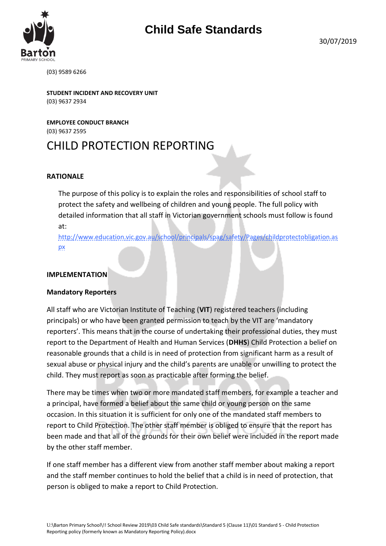(03) 9589 6266

**STUDENT INCIDENT AND RECOVERY UNIT** (03) 9637 2934

**EMPLOYEE CONDUCT BRANCH**  (03) 9637 2595

# CHILD PROTECTION REPORTING

# **RATIONALE**

The purpose of this policy is to explain the roles and responsibilities of school staff to protect the safety and wellbeing of children and young people. The full policy with detailed information that all staff in Victorian government schools must follow is found at:

[http://www.education.vic.gov.au/school/principals/spag/safety/Pages/childprotectobligation.as](http://www.education.vic.gov.au/school/principals/spag/safety/Pages/childprotectobligation.aspx) [px](http://www.education.vic.gov.au/school/principals/spag/safety/Pages/childprotectobligation.aspx)

## **IMPLEMENTATION**

# **Mandatory Reporters**

All staff who are Victorian Institute of Teaching (**VIT**) registered teachers (including principals) or who have been granted permission to teach by the VIT are 'mandatory reporters'. This means that in the course of undertaking their professional duties, they must report to the Department of Health and Human Services (**DHHS**) Child Protection a belief on reasonable grounds that a child is in need of protection from significant harm as a result of sexual abuse or physical injury and the child's parents are unable or unwilling to protect the child. They must report as soon as practicable after forming the belief.

There may be times when two or more mandated staff members, for example a teacher and a principal, have formed a belief about the same child or young person on the same occasion. In this situation it is sufficient for only one of the mandated staff members to report to Child Protection. The other staff member is obliged to ensure that the report has been made and that all of the grounds for their own belief were included in the report made by the other staff member.

If one staff member has a different view from another staff member about making a report and the staff member continues to hold the belief that a child is in need of protection, that person is obliged to make a report to Child Protection.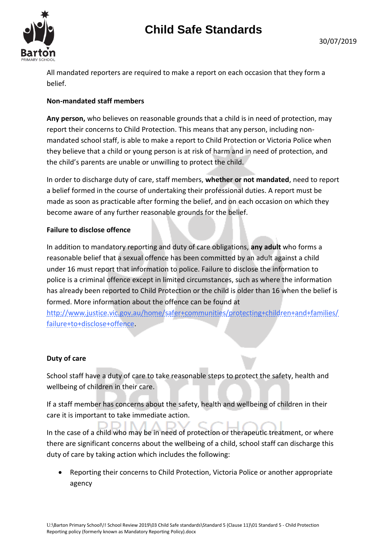

All mandated reporters are required to make a report on each occasion that they form a belief.

# **Non-mandated staff members**

**Any person,** who believes on reasonable grounds that a child is in need of protection, may report their concerns to Child Protection. This means that any person, including nonmandated school staff, is able to make a report to Child Protection or Victoria Police when they believe that a child or young person is at risk of harm and in need of protection, and the child's parents are unable or unwilling to protect the child.

In order to discharge duty of care, staff members, **whether or not mandated**, need to report a belief formed in the course of undertaking their professional duties. A report must be made as soon as practicable after forming the belief, and on each occasion on which they become aware of any further reasonable grounds for the belief.

# **Failure to disclose offence**

In addition to mandatory reporting and duty of care obligations, **any adult** who forms a reasonable belief that a sexual offence has been committed by an adult against a child under 16 must report that information to police. Failure to disclose the information to police is a criminal offence except in limited circumstances, such as where the information has already been reported to Child Protection or the child is older than 16 when the belief is formed. More information about the offence can be found at

[http://www.justice.vic.gov.au/home/safer+communities/protecting+children+and+families/](http://www.justice.vic.gov.au/home/safer+communities/protecting+children+and+families/failure+to+disclose+offence) [failure+to+disclose+offence.](http://www.justice.vic.gov.au/home/safer+communities/protecting+children+and+families/failure+to+disclose+offence)

# **Duty of care**

School staff have a duty of care to take reasonable steps to protect the safety, health and wellbeing of children in their care.

If a staff member has concerns about the safety, health and wellbeing of children in their care it is important to take immediate action.

In the case of a child who may be in need of protection or therapeutic treatment, or where there are significant concerns about the wellbeing of a child, school staff can discharge this duty of care by taking action which includes the following:

 Reporting their concerns to Child Protection, Victoria Police or another appropriate agency